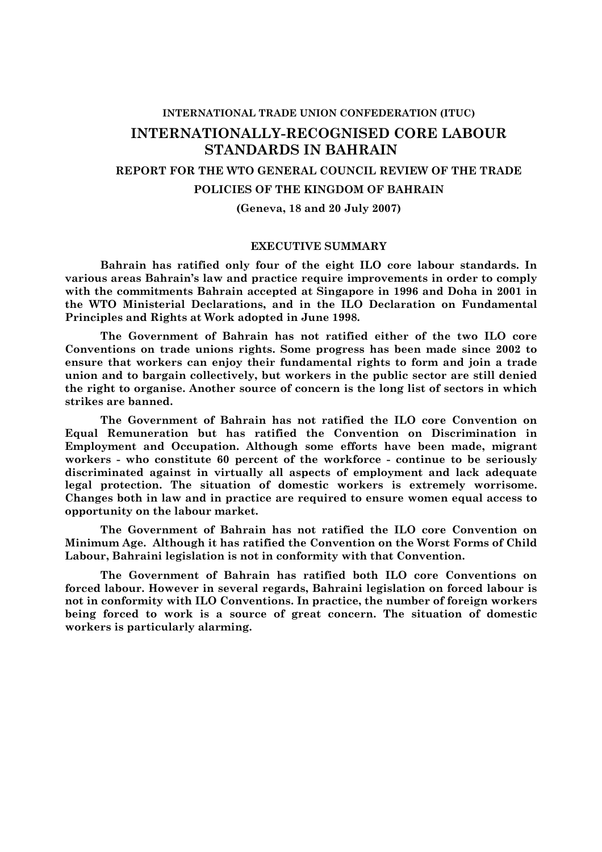#### **INTERNATIONAL TRADE UNION CONFEDERATION (ITUC)**

# **INTERNATIONALLY-RECOGNISED CORE LABOUR STANDARDS IN BAHRAIN**

## **REPORT FOR THE WTO GENERAL COUNCIL REVIEW OF THE TRADE**

## **POLICIES OF THE KINGDOM OF BAHRAIN**

#### **(Geneva, 18 and 20 July 2007)**

### **EXECUTIVE SUMMARY**

**Bahrain has ratified only four of the eight ILO core labour standards. In various areas Bahrain's law and practice require improvements in order to comply with the commitments Bahrain accepted at Singapore in 1996 and Doha in 2001 in the WTO Ministerial Declarations, and in the ILO Declaration on Fundamental Principles and Rights at Work adopted in June 1998.**

**The Government of Bahrain has not ratified either of the two ILO core Conventions on trade unions rights. Some progress has been made since 2002 to ensure that workers can enjoy their fundamental rights to form and join a trade union and to bargain collectively, but workers in the public sector are still denied the right to organise. Another source of concern is the long list of sectors in which strikes are banned.** 

**The Government of Bahrain has not ratified the ILO core Convention on Equal Remuneration but has ratified the Convention on Discrimination in Employment and Occupation. Although some efforts have been made, migrant workers - who constitute 60 percent of the workforce - continue to be seriously discriminated against in virtually all aspects of employment and lack adequate legal protection. The situation of domestic workers is extremely worrisome. Changes both in law and in practice are required to ensure women equal access to opportunity on the labour market.** 

**The Government of Bahrain has not ratified the ILO core Convention on Minimum Age. Although it has ratified the Convention on the Worst Forms of Child Labour, Bahraini legislation is not in conformity with that Convention.** 

**The Government of Bahrain has ratified both ILO core Conventions on forced labour. However in several regards, Bahraini legislation on forced labour is not in conformity with ILO Conventions. In practice, the number of foreign workers being forced to work is a source of great concern. The situation of domestic workers is particularly alarming.**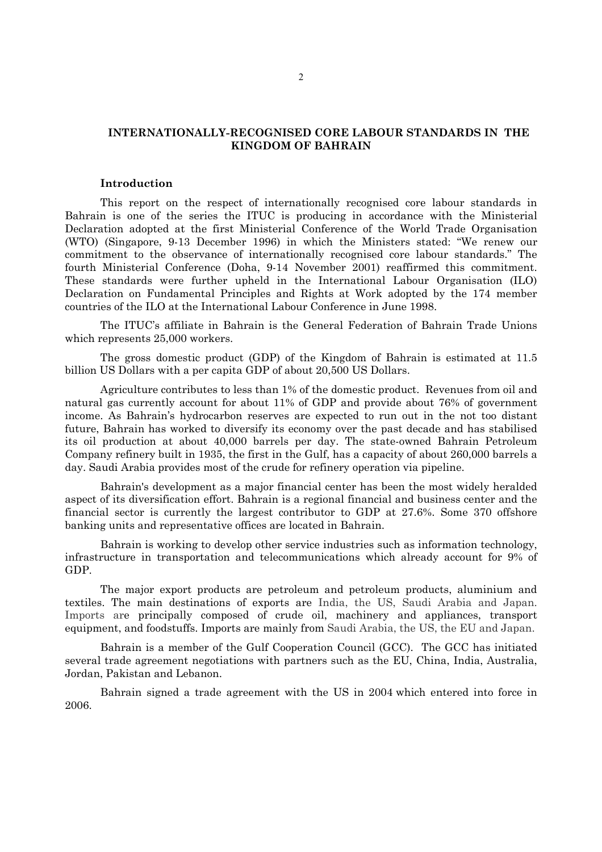# **INTERNATIONALLY-RECOGNISED CORE LABOUR STANDARDS IN THE KINGDOM OF BAHRAIN**

#### **Introduction**

This report on the respect of internationally recognised core labour standards in Bahrain is one of the series the ITUC is producing in accordance with the Ministerial Declaration adopted at the first Ministerial Conference of the World Trade Organisation (WTO) (Singapore, 9-13 December 1996) in which the Ministers stated: "We renew our commitment to the observance of internationally recognised core labour standards." The fourth Ministerial Conference (Doha, 9-14 November 2001) reaffirmed this commitment. These standards were further upheld in the International Labour Organisation (ILO) Declaration on Fundamental Principles and Rights at Work adopted by the 174 member countries of the ILO at the International Labour Conference in June 1998.

The ITUC's affiliate in Bahrain is the General Federation of Bahrain Trade Unions which represents 25,000 workers.

The gross domestic product (GDP) of the Kingdom of Bahrain is estimated at 11.5 billion US Dollars with a per capita GDP of about 20,500 US Dollars.

Agriculture contributes to less than 1% of the domestic product. Revenues from oil and natural gas currently account for about 11% of GDP and provide about 76% of government income. As Bahrain's hydrocarbon reserves are expected to run out in the not too distant future, Bahrain has worked to diversify its economy over the past decade and has stabilised its oil production at about 40,000 barrels per day. The state-owned Bahrain Petroleum Company refinery built in 1935, the first in the Gulf, has a capacity of about 260,000 barrels a day. Saudi Arabia provides most of the crude for refinery operation via pipeline.

Bahrain's development as a major financial center has been the most widely heralded aspect of its diversification effort. Bahrain is a regional financial and business center and the financial sector is currently the largest contributor to GDP at 27.6%. Some 370 offshore banking units and representative offices are located in Bahrain.

Bahrain is working to develop other service industries such as information technology, infrastructure in transportation and telecommunications which already account for 9% of GDP.

The major export products are petroleum and petroleum products, aluminium and textiles. The main destinations of exports are India, the US, Saudi Arabia and Japan. Imports are principally composed of crude oil, machinery and appliances, transport equipment, and foodstuffs. Imports are mainly from Saudi Arabia, the US, the EU and Japan.

Bahrain is a member of the Gulf Cooperation Council (GCC). The GCC has initiated several trade agreement negotiations with partners such as the EU, China, India, Australia, Jordan, Pakistan and Lebanon.

Bahrain signed a trade agreement with the US in 2004 which entered into force in 2006.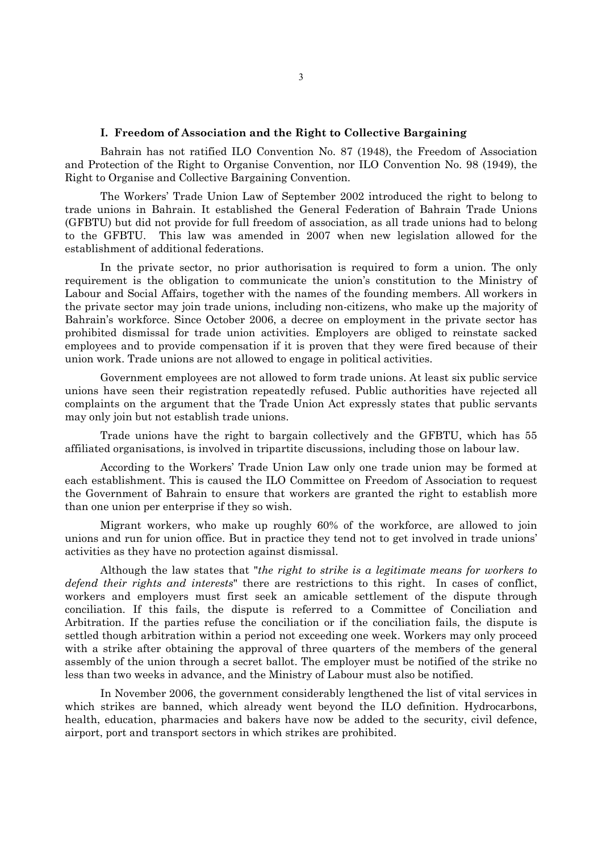#### **I. Freedom of Association and the Right to Collective Bargaining**

Bahrain has not ratified ILO Convention No. 87 (1948), the Freedom of Association and Protection of the Right to Organise Convention, nor ILO Convention No. 98 (1949), the Right to Organise and Collective Bargaining Convention.

The Workers' Trade Union Law of September 2002 introduced the right to belong to trade unions in Bahrain. It established the General Federation of Bahrain Trade Unions (GFBTU) but did not provide for full freedom of association, as all trade unions had to belong to the GFBTU. This law was amended in 2007 when new legislation allowed for the establishment of additional federations.

In the private sector, no prior authorisation is required to form a union. The only requirement is the obligation to communicate the union's constitution to the Ministry of Labour and Social Affairs, together with the names of the founding members. All workers in the private sector may join trade unions, including non-citizens, who make up the majority of Bahrain's workforce. Since October 2006, a decree on employment in the private sector has prohibited dismissal for trade union activities. Employers are obliged to reinstate sacked employees and to provide compensation if it is proven that they were fired because of their union work. Trade unions are not allowed to engage in political activities.

Government employees are not allowed to form trade unions. At least six public service unions have seen their registration repeatedly refused. Public authorities have rejected all complaints on the argument that the Trade Union Act expressly states that public servants may only join but not establish trade unions.

Trade unions have the right to bargain collectively and the GFBTU, which has 55 affiliated organisations, is involved in tripartite discussions, including those on labour law.

According to the Workers' Trade Union Law only one trade union may be formed at each establishment. This is caused the ILO Committee on Freedom of Association to request the Government of Bahrain to ensure that workers are granted the right to establish more than one union per enterprise if they so wish.

Migrant workers, who make up roughly 60% of the workforce, are allowed to join unions and run for union office. But in practice they tend not to get involved in trade unions' activities as they have no protection against dismissal.

Although the law states that "*the right to strike is a legitimate means for workers to defend their rights and interests*" there are restrictions to this right. In cases of conflict, workers and employers must first seek an amicable settlement of the dispute through conciliation. If this fails, the dispute is referred to a Committee of Conciliation and Arbitration. If the parties refuse the conciliation or if the conciliation fails, the dispute is settled though arbitration within a period not exceeding one week. Workers may only proceed with a strike after obtaining the approval of three quarters of the members of the general assembly of the union through a secret ballot. The employer must be notified of the strike no less than two weeks in advance, and the Ministry of Labour must also be notified.

In November 2006, the government considerably lengthened the list of vital services in which strikes are banned, which already went beyond the ILO definition. Hydrocarbons, health, education, pharmacies and bakers have now be added to the security, civil defence, airport, port and transport sectors in which strikes are prohibited.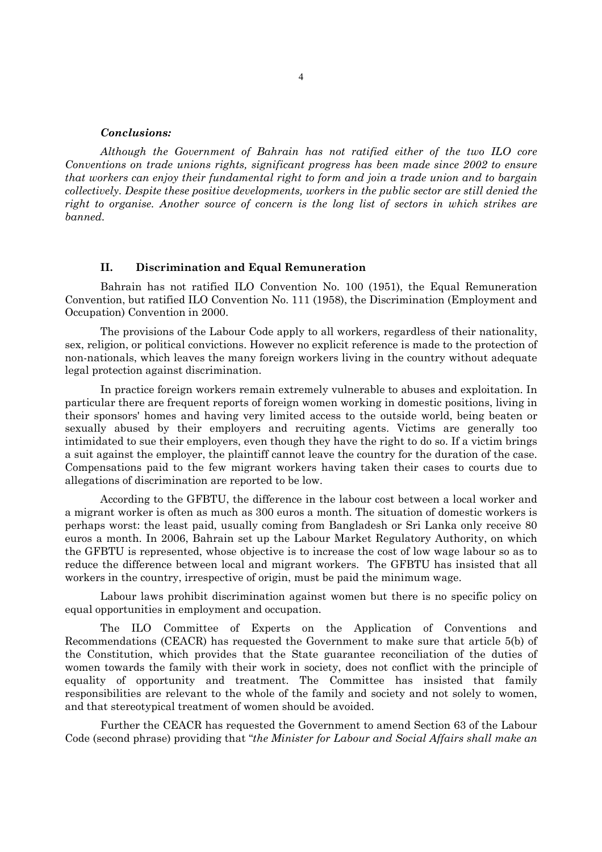#### *Conclusions:*

*Although the Government of Bahrain has not ratified either of the two ILO core Conventions on trade unions rights, significant progress has been made since 2002 to ensure that workers can enjoy their fundamental right to form and join a trade union and to bargain collectively. Despite these positive developments, workers in the public sector are still denied the right to organise. Another source of concern is the long list of sectors in which strikes are banned.* 

#### **II. Discrimination and Equal Remuneration**

Bahrain has not ratified ILO Convention No. 100 (1951), the Equal Remuneration Convention, but ratified ILO Convention No. 111 (1958), the Discrimination (Employment and Occupation) Convention in 2000.

The provisions of the Labour Code apply to all workers, regardless of their nationality, sex, religion, or political convictions. However no explicit reference is made to the protection of non-nationals, which leaves the many foreign workers living in the country without adequate legal protection against discrimination.

In practice foreign workers remain extremely vulnerable to abuses and exploitation. In particular there are frequent reports of foreign women working in domestic positions, living in their sponsors' homes and having very limited access to the outside world, being beaten or sexually abused by their employers and recruiting agents. Victims are generally too intimidated to sue their employers, even though they have the right to do so. If a victim brings a suit against the employer, the plaintiff cannot leave the country for the duration of the case. Compensations paid to the few migrant workers having taken their cases to courts due to allegations of discrimination are reported to be low.

According to the GFBTU, the difference in the labour cost between a local worker and a migrant worker is often as much as 300 euros a month. The situation of domestic workers is perhaps worst: the least paid, usually coming from Bangladesh or Sri Lanka only receive 80 euros a month. In 2006, Bahrain set up the Labour Market Regulatory Authority, on which the GFBTU is represented, whose objective is to increase the cost of low wage labour so as to reduce the difference between local and migrant workers. The GFBTU has insisted that all workers in the country, irrespective of origin, must be paid the minimum wage.

Labour laws prohibit discrimination against women but there is no specific policy on equal opportunities in employment and occupation.

The ILO Committee of Experts on the Application of Conventions and Recommendations (CEACR) has requested the Government to make sure that article 5(b) of the Constitution, which provides that the State guarantee reconciliation of the duties of women towards the family with their work in society, does not conflict with the principle of equality of opportunity and treatment. The Committee has insisted that family responsibilities are relevant to the whole of the family and society and not solely to women, and that stereotypical treatment of women should be avoided.

Further the CEACR has requested the Government to amend Section 63 of the Labour Code (second phrase) providing that "*the Minister for Labour and Social Affairs shall make an*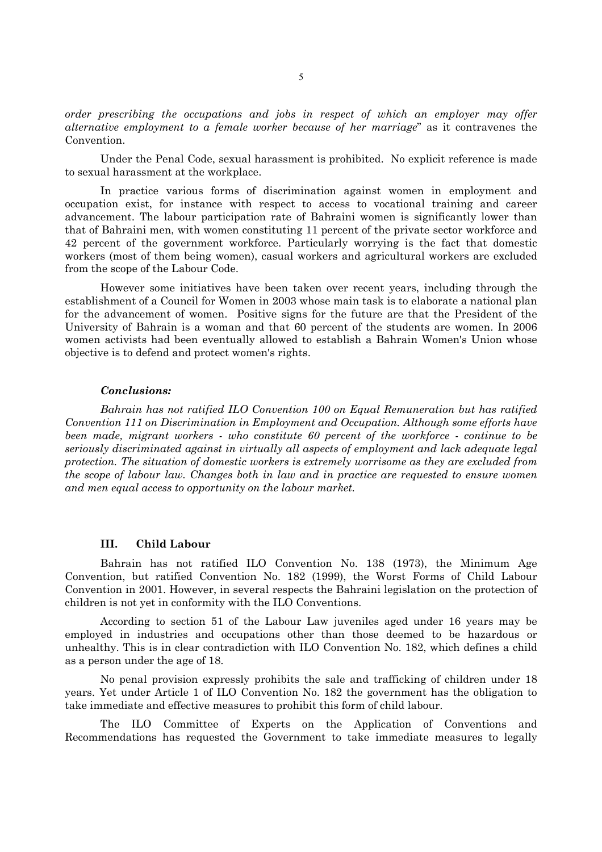*order prescribing the occupations and jobs in respect of which an employer may offer alternative employment to a female worker because of her marriage*" as it contravenes the Convention.

Under the Penal Code, sexual harassment is prohibited. No explicit reference is made to sexual harassment at the workplace.

In practice various forms of discrimination against women in employment and occupation exist, for instance with respect to access to vocational training and career advancement. The labour participation rate of Bahraini women is significantly lower than that of Bahraini men, with women constituting 11 percent of the private sector workforce and 42 percent of the government workforce. Particularly worrying is the fact that domestic workers (most of them being women), casual workers and agricultural workers are excluded from the scope of the Labour Code.

However some initiatives have been taken over recent years, including through the establishment of a Council for Women in 2003 whose main task is to elaborate a national plan for the advancement of women. Positive signs for the future are that the President of the University of Bahrain is a woman and that 60 percent of the students are women. In 2006 women activists had been eventually allowed to establish a Bahrain Women's Union whose objective is to defend and protect women's rights.

#### *Conclusions:*

*Bahrain has not ratified ILO Convention 100 on Equal Remuneration but has ratified Convention 111 on Discrimination in Employment and Occupation. Although some efforts have been made, migrant workers - who constitute 60 percent of the workforce - continue to be seriously discriminated against in virtually all aspects of employment and lack adequate legal protection. The situation of domestic workers is extremely worrisome as they are excluded from the scope of labour law. Changes both in law and in practice are requested to ensure women and men equal access to opportunity on the labour market.* 

#### **III. Child Labour**

Bahrain has not ratified ILO Convention No. 138 (1973), the Minimum Age Convention, but ratified Convention No. 182 (1999), the Worst Forms of Child Labour Convention in 2001. However, in several respects the Bahraini legislation on the protection of children is not yet in conformity with the ILO Conventions.

According to section 51 of the Labour Law juveniles aged under 16 years may be employed in industries and occupations other than those deemed to be hazardous or unhealthy. This is in clear contradiction with ILO Convention No. 182, which defines a child as a person under the age of 18.

No penal provision expressly prohibits the sale and trafficking of children under 18 years. Yet under Article 1 of ILO Convention No. 182 the government has the obligation to take immediate and effective measures to prohibit this form of child labour.

The ILO Committee of Experts on the Application of Conventions and Recommendations has requested the Government to take immediate measures to legally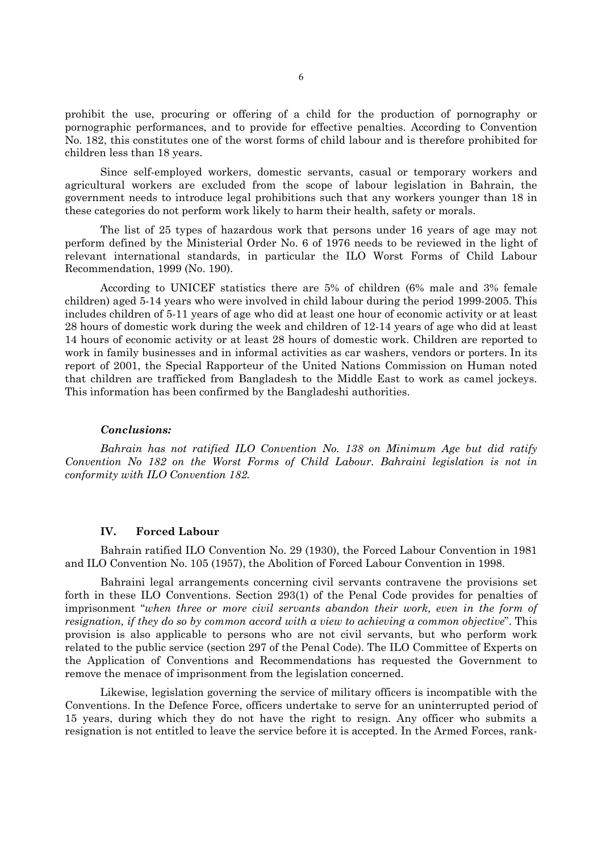prohibit the use, procuring or offering of a child for the production of pornography or pornographic performances, and to provide for effective penalties. According to Convention No. 182, this constitutes one of the worst forms of child labour and is therefore prohibited for children less than 18 years.

Since self-employed workers, domestic servants, casual or temporary workers and agricultural workers are excluded from the scope of labour legislation in Bahrain, the government needs to introduce legal prohibitions such that any workers younger than 18 in these categories do not perform work likely to harm their health, safety or morals.

The list of 25 types of hazardous work that persons under 16 years of age may not perform defined by the Ministerial Order No. 6 of 1976 needs to be reviewed in the light of relevant international standards, in particular the ILO Worst Forms of Child Labour Recommendation, 1999 (No. 190).

According to UNICEF statistics there are 5% of children (6% male and 3% female children) aged 5-14 years who were involved in child labour during the period 1999-2005. This includes children of 5-11 years of age who did at least one hour of economic activity or at least 28 hours of domestic work during the week and children of 12-14 years of age who did at least 14 hours of economic activity or at least 28 hours of domestic work. Children are reported to work in family businesses and in informal activities as car washers, vendors or porters. In its report of 2001, the Special Rapporteur of the United Nations Commission on Human noted that children are trafficked from Bangladesh to the Middle East to work as camel jockeys. This information has been confirmed by the Bangladeshi authorities.

## *Conclusions:*

*Bahrain has not ratified ILO Convention No. 138 on Minimum Age but did ratify Convention No 182 on the Worst Forms of Child Labour. Bahraini legislation is not in conformity with ILO Convention 182.* 

#### **IV. Forced Labour**

Bahrain ratified ILO Convention No. 29 (1930), the Forced Labour Convention in 1981 and ILO Convention No. 105 (1957), the Abolition of Forced Labour Convention in 1998.

Bahraini legal arrangements concerning civil servants contravene the provisions set forth in these ILO Conventions. Section 293(1) of the Penal Code provides for penalties of imprisonment "*when three or more civil servants abandon their work, even in the form of resignation, if they do so by common accord with a view to achieving a common objective*". This provision is also applicable to persons who are not civil servants, but who perform work related to the public service (section 297 of the Penal Code). The ILO Committee of Experts on the Application of Conventions and Recommendations has requested the Government to remove the menace of imprisonment from the legislation concerned.

Likewise, legislation governing the service of military officers is incompatible with the Conventions. In the Defence Force, officers undertake to serve for an uninterrupted period of 15 years, during which they do not have the right to resign. Any officer who submits a resignation is not entitled to leave the service before it is accepted. In the Armed Forces, rank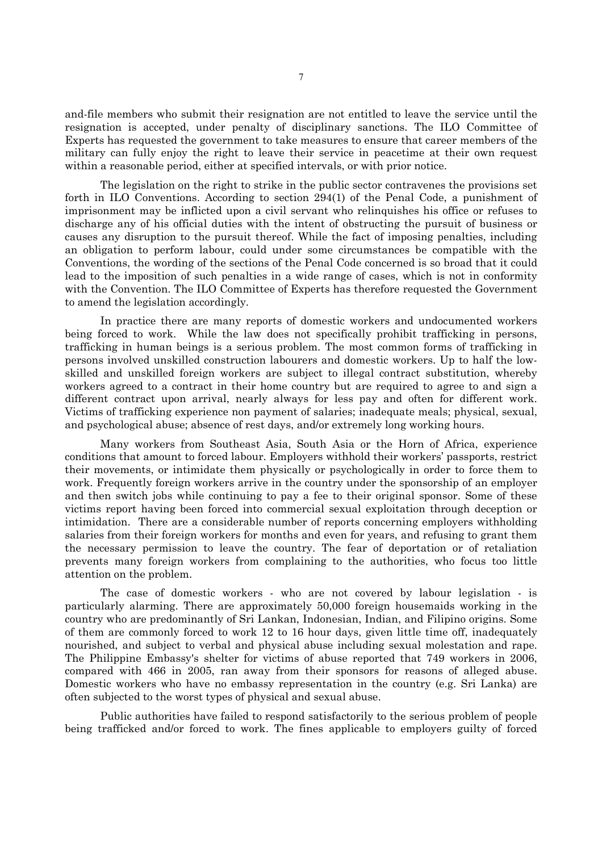and-file members who submit their resignation are not entitled to leave the service until the resignation is accepted, under penalty of disciplinary sanctions. The ILO Committee of Experts has requested the government to take measures to ensure that career members of the military can fully enjoy the right to leave their service in peacetime at their own request within a reasonable period, either at specified intervals, or with prior notice.

The legislation on the right to strike in the public sector contravenes the provisions set forth in ILO Conventions. According to section 294(1) of the Penal Code, a punishment of imprisonment may be inflicted upon a civil servant who relinquishes his office or refuses to discharge any of his official duties with the intent of obstructing the pursuit of business or causes any disruption to the pursuit thereof. While the fact of imposing penalties, including an obligation to perform labour, could under some circumstances be compatible with the Conventions, the wording of the sections of the Penal Code concerned is so broad that it could lead to the imposition of such penalties in a wide range of cases, which is not in conformity with the Convention. The ILO Committee of Experts has therefore requested the Government to amend the legislation accordingly.

In practice there are many reports of domestic workers and undocumented workers being forced to work. While the law does not specifically prohibit trafficking in persons, trafficking in human beings is a serious problem. The most common forms of trafficking in persons involved unskilled construction labourers and domestic workers. Up to half the lowskilled and unskilled foreign workers are subject to illegal contract substitution, whereby workers agreed to a contract in their home country but are required to agree to and sign a different contract upon arrival, nearly always for less pay and often for different work. Victims of trafficking experience non payment of salaries; inadequate meals; physical, sexual, and psychological abuse; absence of rest days, and/or extremely long working hours.

Many workers from Southeast Asia, South Asia or the Horn of Africa, experience conditions that amount to forced labour. Employers withhold their workers' passports, restrict their movements, or intimidate them physically or psychologically in order to force them to work. Frequently foreign workers arrive in the country under the sponsorship of an employer and then switch jobs while continuing to pay a fee to their original sponsor. Some of these victims report having been forced into commercial sexual exploitation through deception or intimidation. There are a considerable number of reports concerning employers withholding salaries from their foreign workers for months and even for years, and refusing to grant them the necessary permission to leave the country. The fear of deportation or of retaliation prevents many foreign workers from complaining to the authorities, who focus too little attention on the problem.

The case of domestic workers - who are not covered by labour legislation - is particularly alarming. There are approximately 50,000 foreign housemaids working in the country who are predominantly of Sri Lankan, Indonesian, Indian, and Filipino origins. Some of them are commonly forced to work 12 to 16 hour days, given little time off, inadequately nourished, and subject to verbal and physical abuse including sexual molestation and rape. The Philippine Embassy's shelter for victims of abuse reported that 749 workers in 2006, compared with 466 in 2005, ran away from their sponsors for reasons of alleged abuse. Domestic workers who have no embassy representation in the country (e.g. Sri Lanka) are often subjected to the worst types of physical and sexual abuse.

Public authorities have failed to respond satisfactorily to the serious problem of people being trafficked and/or forced to work. The fines applicable to employers guilty of forced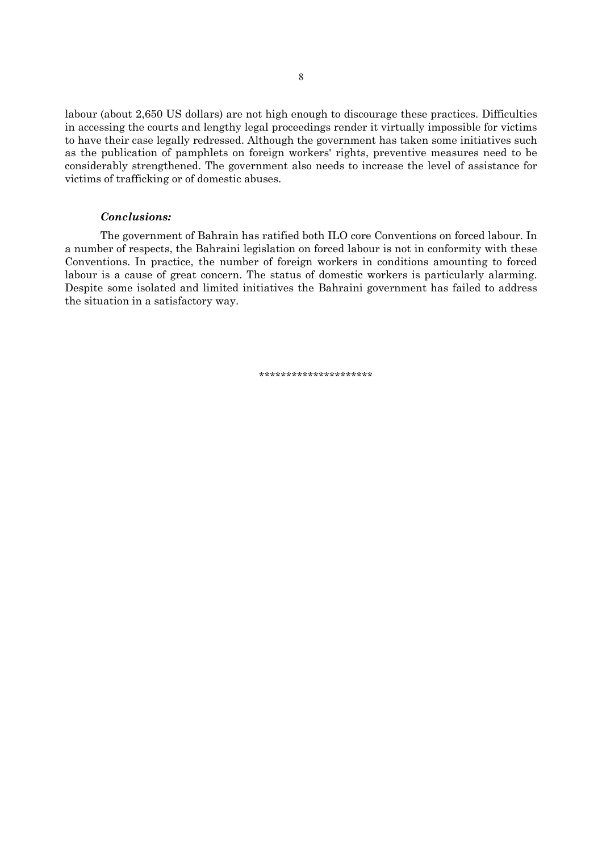labour (about 2,650 US dollars) are not high enough to discourage these practices. Difficulties in accessing the courts and lengthy legal proceedings render it virtually impossible for victims to have their case legally redressed. Although the government has taken some initiatives such as the publication of pamphlets on foreign workers' rights, preventive measures need to be considerably strengthened. The government also needs to increase the level of assistance for victims of trafficking or of domestic abuses.

## *Conclusions:*

The government of Bahrain has ratified both ILO core Conventions on forced labour. In a number of respects, the Bahraini legislation on forced labour is not in conformity with these Conventions. In practice, the number of foreign workers in conditions amounting to forced labour is a cause of great concern. The status of domestic workers is particularly alarming. Despite some isolated and limited initiatives the Bahraini government has failed to address the situation in a satisfactory way.

\*\*\*\*\*\*\*\*\*\*\*\*\*\*\*\*\*\*\*\*\*\*\*\*\*\*\*\*\*\*\*\*\*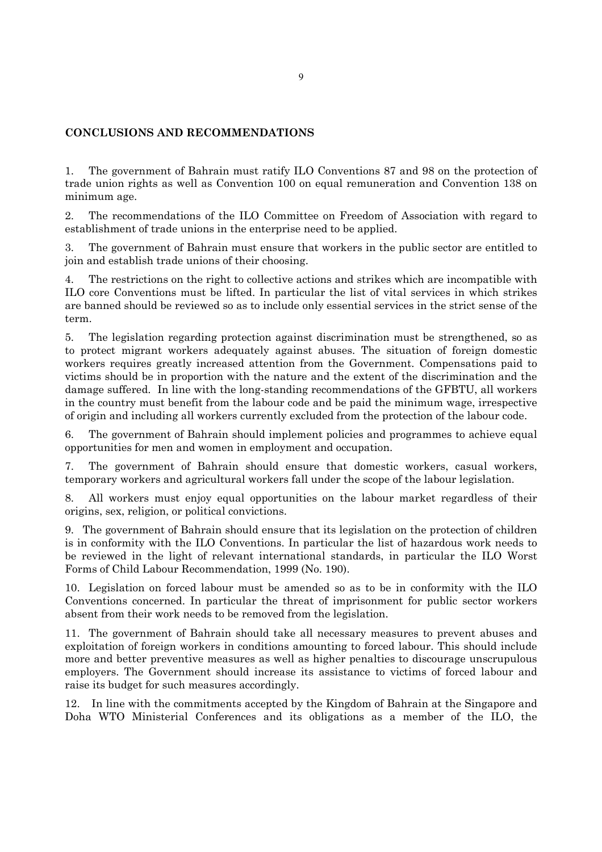# **CONCLUSIONS AND RECOMMENDATIONS**

1. The government of Bahrain must ratify ILO Conventions 87 and 98 on the protection of trade union rights as well as Convention 100 on equal remuneration and Convention 138 on minimum age.

2. The recommendations of the ILO Committee on Freedom of Association with regard to establishment of trade unions in the enterprise need to be applied.

3. The government of Bahrain must ensure that workers in the public sector are entitled to join and establish trade unions of their choosing.

4. The restrictions on the right to collective actions and strikes which are incompatible with ILO core Conventions must be lifted. In particular the list of vital services in which strikes are banned should be reviewed so as to include only essential services in the strict sense of the term.

5. The legislation regarding protection against discrimination must be strengthened, so as to protect migrant workers adequately against abuses. The situation of foreign domestic workers requires greatly increased attention from the Government. Compensations paid to victims should be in proportion with the nature and the extent of the discrimination and the damage suffered. In line with the long-standing recommendations of the GFBTU, all workers in the country must benefit from the labour code and be paid the minimum wage, irrespective of origin and including all workers currently excluded from the protection of the labour code.

6. The government of Bahrain should implement policies and programmes to achieve equal opportunities for men and women in employment and occupation.

7. The government of Bahrain should ensure that domestic workers, casual workers, temporary workers and agricultural workers fall under the scope of the labour legislation.

8. All workers must enjoy equal opportunities on the labour market regardless of their origins, sex, religion, or political convictions.

9. The government of Bahrain should ensure that its legislation on the protection of children is in conformity with the ILO Conventions. In particular the list of hazardous work needs to be reviewed in the light of relevant international standards, in particular the ILO Worst Forms of Child Labour Recommendation, 1999 (No. 190).

10. Legislation on forced labour must be amended so as to be in conformity with the ILO Conventions concerned. In particular the threat of imprisonment for public sector workers absent from their work needs to be removed from the legislation.

11. The government of Bahrain should take all necessary measures to prevent abuses and exploitation of foreign workers in conditions amounting to forced labour. This should include more and better preventive measures as well as higher penalties to discourage unscrupulous employers. The Government should increase its assistance to victims of forced labour and raise its budget for such measures accordingly.

12. In line with the commitments accepted by the Kingdom of Bahrain at the Singapore and Doha WTO Ministerial Conferences and its obligations as a member of the ILO, the